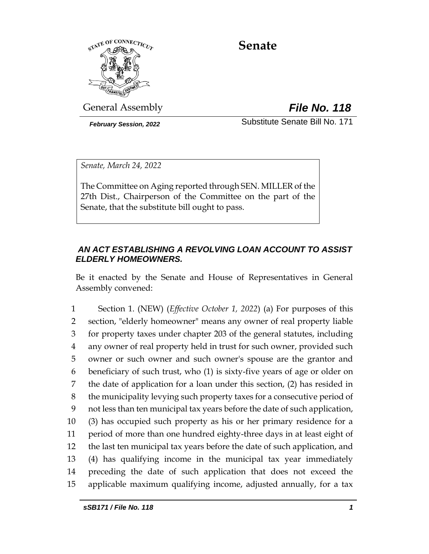

# **Senate**

General Assembly *File No. 118*

*February Session, 2022* Substitute Senate Bill No. 171

*Senate, March 24, 2022*

The Committee on Aging reported through SEN. MILLER of the 27th Dist., Chairperson of the Committee on the part of the Senate, that the substitute bill ought to pass.

# *AN ACT ESTABLISHING A REVOLVING LOAN ACCOUNT TO ASSIST ELDERLY HOMEOWNERS.*

Be it enacted by the Senate and House of Representatives in General Assembly convened:

 Section 1. (NEW) (*Effective October 1, 2022*) (a) For purposes of this section, "elderly homeowner" means any owner of real property liable for property taxes under chapter 203 of the general statutes, including any owner of real property held in trust for such owner, provided such owner or such owner and such owner's spouse are the grantor and beneficiary of such trust, who (1) is sixty-five years of age or older on the date of application for a loan under this section, (2) has resided in the municipality levying such property taxes for a consecutive period of not less than ten municipal tax years before the date of such application, (3) has occupied such property as his or her primary residence for a period of more than one hundred eighty-three days in at least eight of the last ten municipal tax years before the date of such application, and (4) has qualifying income in the municipal tax year immediately preceding the date of such application that does not exceed the applicable maximum qualifying income, adjusted annually, for a tax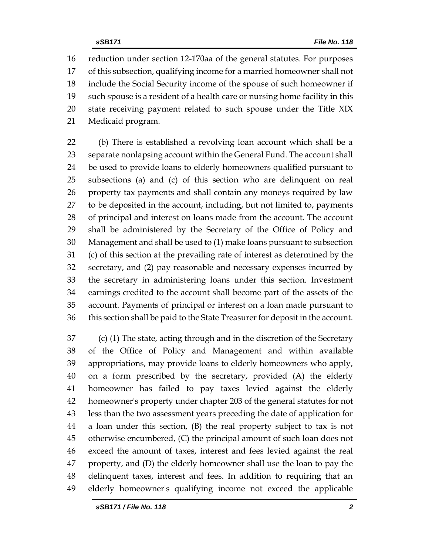reduction under section 12-170aa of the general statutes. For purposes of this subsection, qualifying income for a married homeowner shall not include the Social Security income of the spouse of such homeowner if such spouse is a resident of a health care or nursing home facility in this state receiving payment related to such spouse under the Title XIX Medicaid program.

 (b) There is established a revolving loan account which shall be a separate nonlapsing account within the General Fund. The account shall be used to provide loans to elderly homeowners qualified pursuant to subsections (a) and (c) of this section who are delinquent on real property tax payments and shall contain any moneys required by law to be deposited in the account, including, but not limited to, payments of principal and interest on loans made from the account. The account shall be administered by the Secretary of the Office of Policy and Management and shall be used to (1) make loans pursuant to subsection (c) of this section at the prevailing rate of interest as determined by the secretary, and (2) pay reasonable and necessary expenses incurred by the secretary in administering loans under this section. Investment earnings credited to the account shall become part of the assets of the account. Payments of principal or interest on a loan made pursuant to this section shall be paid to the State Treasurer for deposit in the account.

 (c) (1) The state, acting through and in the discretion of the Secretary of the Office of Policy and Management and within available appropriations, may provide loans to elderly homeowners who apply, on a form prescribed by the secretary, provided (A) the elderly homeowner has failed to pay taxes levied against the elderly homeowner's property under chapter 203 of the general statutes for not less than the two assessment years preceding the date of application for a loan under this section, (B) the real property subject to tax is not otherwise encumbered, (C) the principal amount of such loan does not exceed the amount of taxes, interest and fees levied against the real property, and (D) the elderly homeowner shall use the loan to pay the delinquent taxes, interest and fees. In addition to requiring that an elderly homeowner's qualifying income not exceed the applicable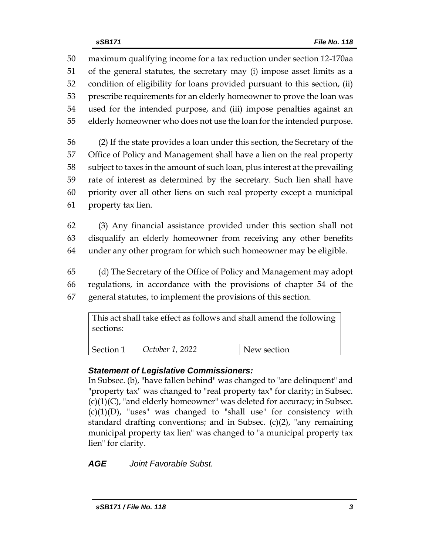maximum qualifying income for a tax reduction under section 12-170aa of the general statutes, the secretary may (i) impose asset limits as a condition of eligibility for loans provided pursuant to this section, (ii) prescribe requirements for an elderly homeowner to prove the loan was used for the intended purpose, and (iii) impose penalties against an elderly homeowner who does not use the loan for the intended purpose.

 (2) If the state provides a loan under this section, the Secretary of the Office of Policy and Management shall have a lien on the real property subject to taxes in the amount of such loan, plus interest at the prevailing rate of interest as determined by the secretary. Such lien shall have priority over all other liens on such real property except a municipal property tax lien.

62 (3) Any financial assistance provided under this section shall not 63 disqualify an elderly homeowner from receiving any other benefits 64 under any other program for which such homeowner may be eligible.

65 (d) The Secretary of the Office of Policy and Management may adopt 66 regulations, in accordance with the provisions of chapter 54 of the 67 general statutes, to implement the provisions of this section.

This act shall take effect as follows and shall amend the following sections: Section 1 *October 1, 2022* New section

# *Statement of Legislative Commissioners:*

In Subsec. (b), "have fallen behind" was changed to "are delinquent" and "property tax" was changed to "real property tax" for clarity; in Subsec.  $(c)(1)(C)$ , "and elderly homeowner" was deleted for accuracy; in Subsec.  $(c)(1)(D)$ , "uses" was changed to "shall use" for consistency with standard drafting conventions; and in Subsec.  $(c)(2)$ , "any remaining municipal property tax lien" was changed to "a municipal property tax lien" for clarity.

*AGE Joint Favorable Subst.*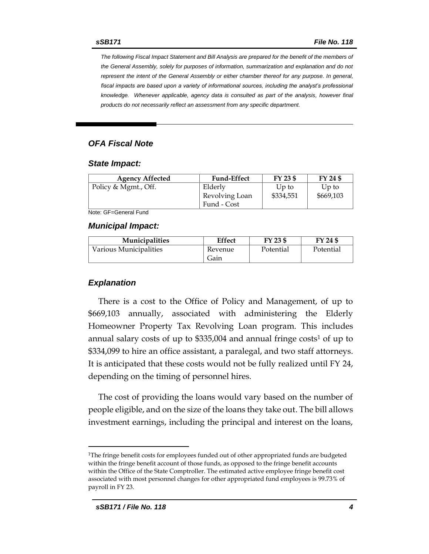*The following Fiscal Impact Statement and Bill Analysis are prepared for the benefit of the members of the General Assembly, solely for purposes of information, summarization and explanation and do not represent the intent of the General Assembly or either chamber thereof for any purpose. In general,*  fiscal impacts are based upon a variety of informational sources, including the analyst's professional *knowledge. Whenever applicable, agency data is consulted as part of the analysis, however final products do not necessarily reflect an assessment from any specific department.*

### *OFA Fiscal Note*

#### *State Impact:*

| Up to     | Up to     |
|-----------|-----------|
| \$334,551 | \$669,103 |
|           |           |
|           |           |

Note: GF=General Fund

### *Municipal Impact:*

| <b>Municipalities</b>  | Effect  | FY 23 \$  | FY 24 \$  |
|------------------------|---------|-----------|-----------|
| Various Municipalities | Revenue | Potential | Potential |
|                        | Gain    |           |           |

### *Explanation*

There is a cost to the Office of Policy and Management, of up to \$669,103 annually, associated with administering the Elderly Homeowner Property Tax Revolving Loan program. This includes annual salary costs of up to  $$335,004$  and annual fringe costs<sup>1</sup> of up to \$334,099 to hire an office assistant, a paralegal, and two staff attorneys. It is anticipated that these costs would not be fully realized until FY 24, depending on the timing of personnel hires.

The cost of providing the loans would vary based on the number of people eligible, and on the size of the loans they take out. The bill allows investment earnings, including the principal and interest on the loans,

<sup>1</sup>The fringe benefit costs for employees funded out of other appropriated funds are budgeted within the fringe benefit account of those funds, as opposed to the fringe benefit accounts within the Office of the State Comptroller. The estimated active employee fringe benefit cost associated with most personnel changes for other appropriated fund employees is 99.73% of payroll in FY 23.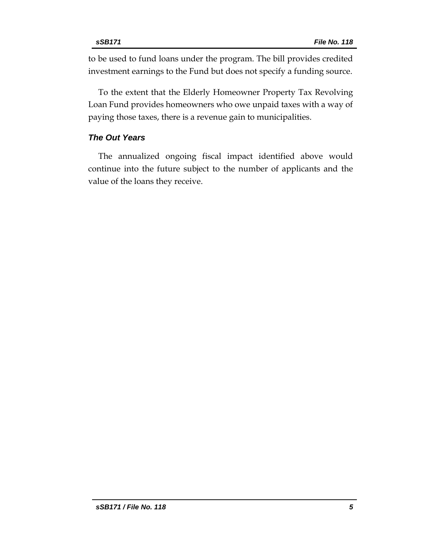to be used to fund loans under the program. The bill provides credited investment earnings to the Fund but does not specify a funding source.

To the extent that the Elderly Homeowner Property Tax Revolving Loan Fund provides homeowners who owe unpaid taxes with a way of paying those taxes, there is a revenue gain to municipalities.

# *The Out Years*

The annualized ongoing fiscal impact identified above would continue into the future subject to the number of applicants and the value of the loans they receive.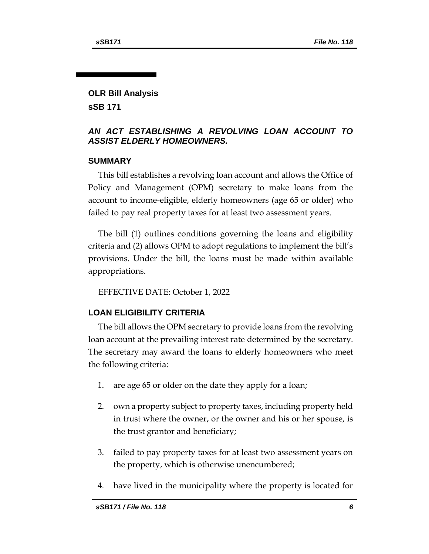# **OLR Bill Analysis**

**sSB 171**

## *AN ACT ESTABLISHING A REVOLVING LOAN ACCOUNT TO ASSIST ELDERLY HOMEOWNERS.*

# **SUMMARY**

This bill establishes a revolving loan account and allows the Office of Policy and Management (OPM) secretary to make loans from the account to income-eligible, elderly homeowners (age 65 or older) who failed to pay real property taxes for at least two assessment years.

The bill (1) outlines conditions governing the loans and eligibility criteria and (2) allows OPM to adopt regulations to implement the bill's provisions. Under the bill, the loans must be made within available appropriations.

EFFECTIVE DATE: October 1, 2022

# **LOAN ELIGIBILITY CRITERIA**

The bill allows the OPM secretary to provide loans from the revolving loan account at the prevailing interest rate determined by the secretary. The secretary may award the loans to elderly homeowners who meet the following criteria:

- 1. are age 65 or older on the date they apply for a loan;
- 2. own a property subject to property taxes, including property held in trust where the owner, or the owner and his or her spouse, is the trust grantor and beneficiary;
- 3. failed to pay property taxes for at least two assessment years on the property, which is otherwise unencumbered;
- 4. have lived in the municipality where the property is located for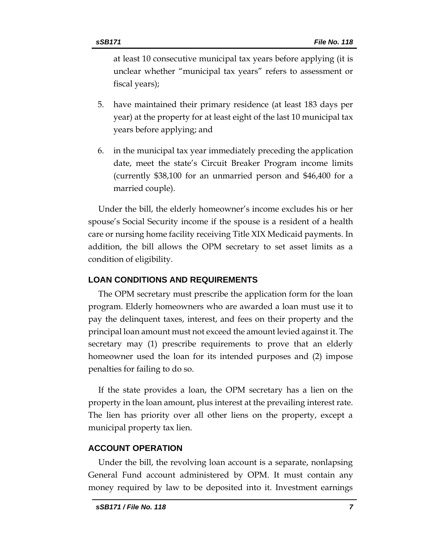at least 10 consecutive municipal tax years before applying (it is unclear whether "municipal tax years" refers to assessment or fiscal years);

- 5. have maintained their primary residence (at least 183 days per year) at the property for at least eight of the last 10 municipal tax years before applying; and
- 6. in the municipal tax year immediately preceding the application date, meet the state's Circuit Breaker Program income limits (currently \$38,100 for an unmarried person and \$46,400 for a married couple).

Under the bill, the elderly homeowner's income excludes his or her spouse's Social Security income if the spouse is a resident of a health care or nursing home facility receiving Title XIX Medicaid payments. In addition, the bill allows the OPM secretary to set asset limits as a condition of eligibility.

# **LOAN CONDITIONS AND REQUIREMENTS**

The OPM secretary must prescribe the application form for the loan program. Elderly homeowners who are awarded a loan must use it to pay the delinquent taxes, interest, and fees on their property and the principal loan amount must not exceed the amount levied against it. The secretary may (1) prescribe requirements to prove that an elderly homeowner used the loan for its intended purposes and (2) impose penalties for failing to do so.

If the state provides a loan, the OPM secretary has a lien on the property in the loan amount, plus interest at the prevailing interest rate. The lien has priority over all other liens on the property, except a municipal property tax lien.

# **ACCOUNT OPERATION**

Under the bill, the revolving loan account is a separate, nonlapsing General Fund account administered by OPM. It must contain any money required by law to be deposited into it. Investment earnings